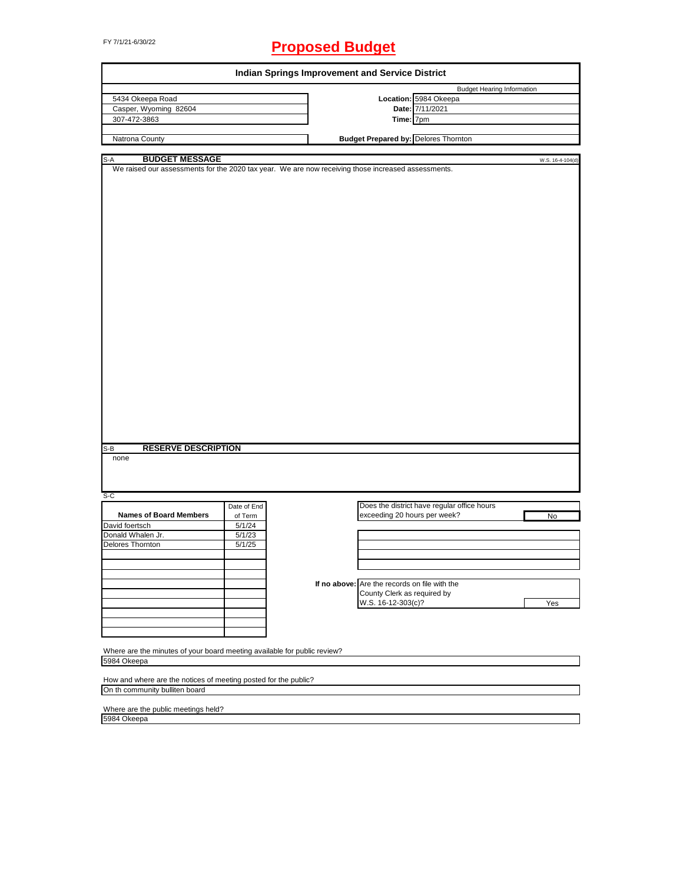# FY 7/1/21-6/30/22 **Proposed Budget**

| <b>Budget Hearing Information</b><br>5434 Okeepa Road<br>Location: 5984 Okeepa<br>Casper, Wyoming 82604<br>Date: 7/11/2021<br>307-472-3863<br>Time: $\overline{7}$ pm<br><b>Budget Prepared by: Delores Thornton</b><br>Natrona County<br><b>BUDGET MESSAGE</b><br>S-A<br>We raised our assessments for the 2020 tax year. We are now receiving those increased assessments.<br><b>RESERVE DESCRIPTION</b><br>S-B<br>none<br>$S-C$<br>Does the district have regular office hours<br>Date of End<br><b>Names of Board Members</b><br>exceeding 20 hours per week?<br>of Term<br>No<br>David foertsch<br>5/1/24<br>Donald Whalen Jr.<br>5/1/23<br>Delores Thornton<br>5/1/25<br>If no above: Are the records on file with the<br>County Clerk as required by<br>W.S. 16-12-303(c)?<br>Yes<br>Where are the minutes of your board meeting available for public review?<br>5984 Okeepa<br>How and where are the notices of meeting posted for the public? | Indian Springs Improvement and Service District |  |  |                  |
|--------------------------------------------------------------------------------------------------------------------------------------------------------------------------------------------------------------------------------------------------------------------------------------------------------------------------------------------------------------------------------------------------------------------------------------------------------------------------------------------------------------------------------------------------------------------------------------------------------------------------------------------------------------------------------------------------------------------------------------------------------------------------------------------------------------------------------------------------------------------------------------------------------------------------------------------------------|-------------------------------------------------|--|--|------------------|
|                                                                                                                                                                                                                                                                                                                                                                                                                                                                                                                                                                                                                                                                                                                                                                                                                                                                                                                                                        |                                                 |  |  |                  |
|                                                                                                                                                                                                                                                                                                                                                                                                                                                                                                                                                                                                                                                                                                                                                                                                                                                                                                                                                        |                                                 |  |  |                  |
|                                                                                                                                                                                                                                                                                                                                                                                                                                                                                                                                                                                                                                                                                                                                                                                                                                                                                                                                                        |                                                 |  |  |                  |
|                                                                                                                                                                                                                                                                                                                                                                                                                                                                                                                                                                                                                                                                                                                                                                                                                                                                                                                                                        |                                                 |  |  |                  |
|                                                                                                                                                                                                                                                                                                                                                                                                                                                                                                                                                                                                                                                                                                                                                                                                                                                                                                                                                        |                                                 |  |  |                  |
|                                                                                                                                                                                                                                                                                                                                                                                                                                                                                                                                                                                                                                                                                                                                                                                                                                                                                                                                                        |                                                 |  |  |                  |
|                                                                                                                                                                                                                                                                                                                                                                                                                                                                                                                                                                                                                                                                                                                                                                                                                                                                                                                                                        |                                                 |  |  | W.S. 16-4-104(d) |
|                                                                                                                                                                                                                                                                                                                                                                                                                                                                                                                                                                                                                                                                                                                                                                                                                                                                                                                                                        |                                                 |  |  |                  |
|                                                                                                                                                                                                                                                                                                                                                                                                                                                                                                                                                                                                                                                                                                                                                                                                                                                                                                                                                        |                                                 |  |  |                  |
|                                                                                                                                                                                                                                                                                                                                                                                                                                                                                                                                                                                                                                                                                                                                                                                                                                                                                                                                                        |                                                 |  |  |                  |
|                                                                                                                                                                                                                                                                                                                                                                                                                                                                                                                                                                                                                                                                                                                                                                                                                                                                                                                                                        |                                                 |  |  |                  |
|                                                                                                                                                                                                                                                                                                                                                                                                                                                                                                                                                                                                                                                                                                                                                                                                                                                                                                                                                        |                                                 |  |  |                  |
|                                                                                                                                                                                                                                                                                                                                                                                                                                                                                                                                                                                                                                                                                                                                                                                                                                                                                                                                                        |                                                 |  |  |                  |
|                                                                                                                                                                                                                                                                                                                                                                                                                                                                                                                                                                                                                                                                                                                                                                                                                                                                                                                                                        |                                                 |  |  |                  |
|                                                                                                                                                                                                                                                                                                                                                                                                                                                                                                                                                                                                                                                                                                                                                                                                                                                                                                                                                        |                                                 |  |  |                  |
|                                                                                                                                                                                                                                                                                                                                                                                                                                                                                                                                                                                                                                                                                                                                                                                                                                                                                                                                                        |                                                 |  |  |                  |
|                                                                                                                                                                                                                                                                                                                                                                                                                                                                                                                                                                                                                                                                                                                                                                                                                                                                                                                                                        |                                                 |  |  |                  |
|                                                                                                                                                                                                                                                                                                                                                                                                                                                                                                                                                                                                                                                                                                                                                                                                                                                                                                                                                        |                                                 |  |  |                  |
|                                                                                                                                                                                                                                                                                                                                                                                                                                                                                                                                                                                                                                                                                                                                                                                                                                                                                                                                                        |                                                 |  |  |                  |
|                                                                                                                                                                                                                                                                                                                                                                                                                                                                                                                                                                                                                                                                                                                                                                                                                                                                                                                                                        |                                                 |  |  |                  |
|                                                                                                                                                                                                                                                                                                                                                                                                                                                                                                                                                                                                                                                                                                                                                                                                                                                                                                                                                        |                                                 |  |  |                  |
|                                                                                                                                                                                                                                                                                                                                                                                                                                                                                                                                                                                                                                                                                                                                                                                                                                                                                                                                                        |                                                 |  |  |                  |
|                                                                                                                                                                                                                                                                                                                                                                                                                                                                                                                                                                                                                                                                                                                                                                                                                                                                                                                                                        |                                                 |  |  |                  |
|                                                                                                                                                                                                                                                                                                                                                                                                                                                                                                                                                                                                                                                                                                                                                                                                                                                                                                                                                        |                                                 |  |  |                  |
|                                                                                                                                                                                                                                                                                                                                                                                                                                                                                                                                                                                                                                                                                                                                                                                                                                                                                                                                                        |                                                 |  |  |                  |
|                                                                                                                                                                                                                                                                                                                                                                                                                                                                                                                                                                                                                                                                                                                                                                                                                                                                                                                                                        |                                                 |  |  |                  |
|                                                                                                                                                                                                                                                                                                                                                                                                                                                                                                                                                                                                                                                                                                                                                                                                                                                                                                                                                        |                                                 |  |  |                  |
| On th community bulliten board                                                                                                                                                                                                                                                                                                                                                                                                                                                                                                                                                                                                                                                                                                                                                                                                                                                                                                                         |                                                 |  |  |                  |

Where are the public meetings held? 5984 Okeepa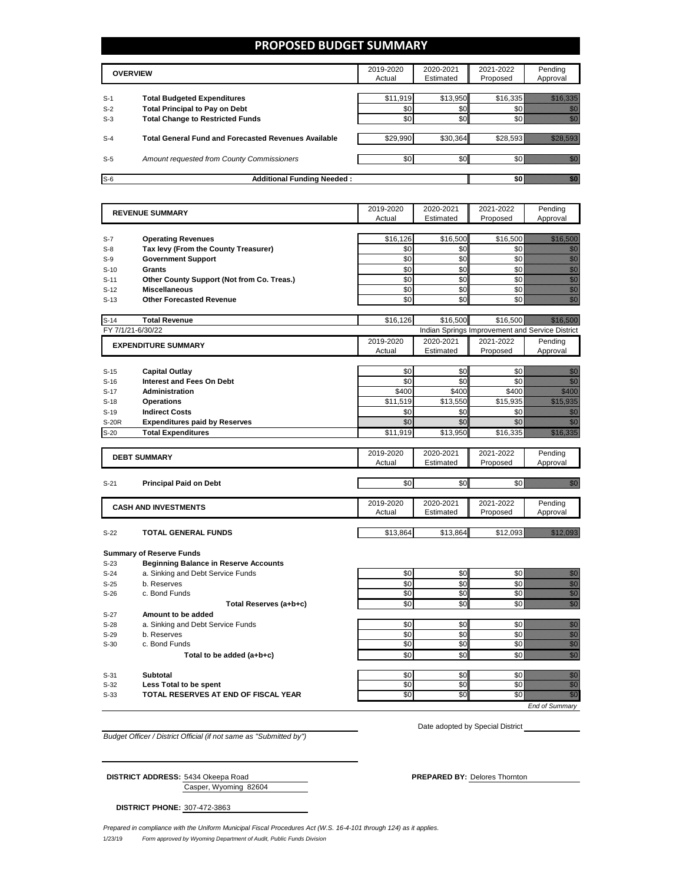### **PROPOSED BUDGET SUMMARY**

|       | <b>OVERVIEW</b>                                             | 2019-2020<br>Actual | 2020-2021<br>Estimated | 2021-2022<br>Proposed | Pendina<br>Approval |
|-------|-------------------------------------------------------------|---------------------|------------------------|-----------------------|---------------------|
| $S-1$ | <b>Total Budgeted Expenditures</b>                          | \$11,919            | \$13,950               | \$16,335              |                     |
| $S-2$ | <b>Total Principal to Pay on Debt</b>                       | \$0                 | \$0                    |                       |                     |
| $S-3$ | <b>Total Change to Restricted Funds</b>                     | \$0                 | \$0                    |                       |                     |
|       |                                                             |                     |                        |                       |                     |
| $S-4$ | <b>Total General Fund and Forecasted Revenues Available</b> | \$29,990            | \$30,364               | \$28.593              |                     |
|       |                                                             |                     |                        |                       |                     |
| $S-5$ | Amount requested from County Commissioners                  | \$0                 | \$0                    |                       |                     |
| $S-6$ | <b>Additional Funding Needed:</b>                           |                     |                        |                       |                     |

| <b>REVENUE SUMMARY</b> |                                              | 2019-2020 | 2020-2021 | 2021-2022                                       | Pending                                                                                                                                                                                                                              |
|------------------------|----------------------------------------------|-----------|-----------|-------------------------------------------------|--------------------------------------------------------------------------------------------------------------------------------------------------------------------------------------------------------------------------------------|
|                        |                                              | Actual    | Estimated | Proposed                                        | Approval                                                                                                                                                                                                                             |
|                        |                                              |           |           |                                                 |                                                                                                                                                                                                                                      |
| $S-7$                  | <b>Operating Revenues</b>                    | \$16,126  | \$16,500  | \$16,500                                        | <u>Mariji ya K</u>                                                                                                                                                                                                                   |
| $S-8$                  | Tax levy (From the County Treasurer)         | \$0       | \$0       | \$0                                             | en de la familie de la familie de la familie de la familie de la familie de la familie de la familie de la fa<br>Concelho de la familie de la familie de la familie de la familie de la familie de la familie de la familie de       |
| $S-9$                  | <b>Government Support</b>                    | \$0       | \$0       | \$0                                             |                                                                                                                                                                                                                                      |
| $S-10$                 | Grants                                       | \$0       | \$0       | \$0                                             | e de la provincia de la provincia de la provincia de la provincia de la provincia de la provincia de la provin<br>En la provincia de la provincia de la provincia de la provincia de la provincia de la provincia de la provinci<br> |
| $S-11$                 | Other County Support (Not from Co. Treas.)   | \$0       | \$0       | \$0                                             |                                                                                                                                                                                                                                      |
| $S-12$                 | <b>Miscellaneous</b>                         | \$0       | \$0       | \$0                                             |                                                                                                                                                                                                                                      |
| $S-13$                 | <b>Other Forecasted Revenue</b>              | \$0       | \$0       | \$0                                             | en de la familie de la familie de la familie de la familie de la familie de la familie de la familie de la fam<br>Constitution de la familie de la familie de la familie de la familie de la familie de la familie de la familie     |
|                        |                                              |           |           |                                                 |                                                                                                                                                                                                                                      |
| $S-14$                 | <b>Total Revenue</b>                         | \$16,126  | \$16,500  | \$16,500                                        |                                                                                                                                                                                                                                      |
|                        | FY 7/1/21-6/30/22                            |           |           | Indian Springs Improvement and Service District |                                                                                                                                                                                                                                      |
|                        | <b>EXPENDITURE SUMMARY</b>                   | 2019-2020 | 2020-2021 | 2021-2022                                       | Pending                                                                                                                                                                                                                              |
|                        |                                              | Actual    | Estimated | Proposed                                        | Approval                                                                                                                                                                                                                             |
|                        |                                              |           |           |                                                 |                                                                                                                                                                                                                                      |
| $S-15$                 | <b>Capital Outlay</b>                        | \$0       | \$0       | \$0                                             | en de la familie de la familie de la familie de la familie de la familie de la familie de la familie de la fa<br>Constitution de la familie de la familie de la familie de la familie de la familie de la familie de la familie      |
| $S-16$                 | <b>Interest and Fees On Debt</b>             | \$0       | \$0       | \$0                                             | en de la filosofia<br>Altres de la filòlogía                                                                                                                                                                                         |
| $S-17$                 | <b>Administration</b>                        | \$400     | \$400     | \$400                                           | <u>till stor</u>                                                                                                                                                                                                                     |
| $S-18$                 | <b>Operations</b>                            | \$11,519  | \$13,550  | \$15,935                                        | <u> Maria Barat da Barat da Barat da Barat da Barat da Barat da Barat da Barat da Barat da Barat da Barat da Bar</u>                                                                                                                 |
| $S-19$                 | <b>Indirect Costs</b>                        | \$0       | \$0       | \$0                                             | en de la filosofia<br>Establecidades                                                                                                                                                                                                 |
| <b>S-20R</b>           | <b>Expenditures paid by Reserves</b>         | \$0       | \$0       | \$0                                             | en de la familie de la familie de la familie de la familie de la familie de la familie de la familie de la fa<br>De la familie de la familie de la familie de la familie de la familie de la familie de la familie de la famili      |
| $S-20$                 | <b>Total Expenditures</b>                    | \$11,919  | \$13,950  | \$16,335                                        | <u> Karlin Maria</u>                                                                                                                                                                                                                 |
|                        |                                              |           |           |                                                 |                                                                                                                                                                                                                                      |
|                        | <b>DEBT SUMMARY</b>                          | 2019-2020 | 2020-2021 | 2021-2022                                       | Pending                                                                                                                                                                                                                              |
|                        |                                              | Actual    | Estimated | Proposed                                        | Approval                                                                                                                                                                                                                             |
|                        |                                              |           |           |                                                 |                                                                                                                                                                                                                                      |
| $S-21$                 | <b>Principal Paid on Debt</b>                | \$0       | \$0       | \$0                                             | <u>Mille</u>                                                                                                                                                                                                                         |
|                        |                                              |           |           |                                                 |                                                                                                                                                                                                                                      |
|                        | <b>CASH AND INVESTMENTS</b>                  | 2019-2020 | 2020-2021 | 2021-2022                                       | Pending                                                                                                                                                                                                                              |
|                        |                                              | Actual    | Estimated | Proposed                                        | Approval                                                                                                                                                                                                                             |
|                        |                                              |           |           |                                                 |                                                                                                                                                                                                                                      |
| $S-22$                 | <b>TOTAL GENERAL FUNDS</b>                   | \$13.864  | \$13,864  | \$12.093                                        | <u>tik ka</u>                                                                                                                                                                                                                        |
|                        |                                              |           |           |                                                 |                                                                                                                                                                                                                                      |
|                        | <b>Summary of Reserve Funds</b>              |           |           |                                                 |                                                                                                                                                                                                                                      |
| $S-23$                 | <b>Beginning Balance in Reserve Accounts</b> |           |           |                                                 |                                                                                                                                                                                                                                      |
| $S-24$                 | a. Sinking and Debt Service Funds            | \$0       | \$0       | \$0                                             |                                                                                                                                                                                                                                      |
| $S-25$                 | b. Reserves                                  | \$0       | \$0       | \$0                                             | e de la composición de la composición de la composición de la composición de la composición de la composición<br>Campo de la composición de la composición de la composición de la composición de la composición de la composic      |
| $S-26$                 | c. Bond Funds                                | \$0       | \$0       | \$0                                             |                                                                                                                                                                                                                                      |
|                        | Total Reserves (a+b+c)                       | \$0       | \$0       | \$0                                             | en de la filo<br>Maria de la filòla del control de la filòla de la filòla de la filòla de la filòla de la filòla<br>Maria de la filòla de la filòla de la filòla de la filòla de la filòla de la filòla de la filòla de la filòla    |
| $S-27$                 | Amount to be added                           |           |           |                                                 |                                                                                                                                                                                                                                      |
| $S-28$                 | a. Sinking and Debt Service Funds            | \$0       | \$0       | \$0                                             | en eller<br>Girlsh                                                                                                                                                                                                                   |
| $S-29$                 | b. Reserves                                  | \$0       | \$0       | \$0                                             | e de la composición de la composición de la composición de la composición de la composición de la composición<br>Campo de la composición de la composición de la composición de la composición de la composición de la composic      |
| $S-30$                 | c. Bond Funds                                | \$0       | \$0       | \$0                                             |                                                                                                                                                                                                                                      |
|                        | Total to be added (a+b+c)                    | \$0       | \$0       | \$0                                             | en de la familie de la familie de la familie de la familie de la familie de la familie de la familie de la fa<br>Concelho de la familie de la familie de la familie de la familie de la familie de la familie de la familie de       |
|                        |                                              |           |           |                                                 |                                                                                                                                                                                                                                      |
| $S-31$                 | Subtotal                                     | \$0       | \$0       | \$0                                             |                                                                                                                                                                                                                                      |
| $S-32$                 | Less Total to be spent                       | \$0       | \$0       | \$0                                             | e de la provincia de la provincia de la provincia de la provincia de la provincia de la provincia de la provin<br>Constituit de la provincia de la provincia de la provincia de la provincia de la provincia de la provincia de      |
| $S-33$                 | TOTAL RESERVES AT END OF FISCAL YEAR         | \$0       | \$0       | $\overline{50}$                                 | e e de la contrada de la contrada de la contrada de la contrada de la contrada de la contrada de la contrada d<br>Contrada de la contrada de la contrada de la contrada de la contrada de la contrada de la contrada de la contr     |
|                        |                                              |           |           |                                                 | <b>End of Summarv</b>                                                                                                                                                                                                                |

*Budget Officer / District Official (if not same as "Submitted by")*

Date adopted by Special District

Casper, Wyoming 82604 **DISTRICT ADDRESS:** 5434 Okeepa Road **PREPARED BY:** Delores Thornton

**DISTRICT PHONE:** 307-472-3863

1/23/19 *Form approved by Wyoming Department of Audit, Public Funds Division Prepared in compliance with the Uniform Municipal Fiscal Procedures Act (W.S. 16-4-101 through 124) as it applies.*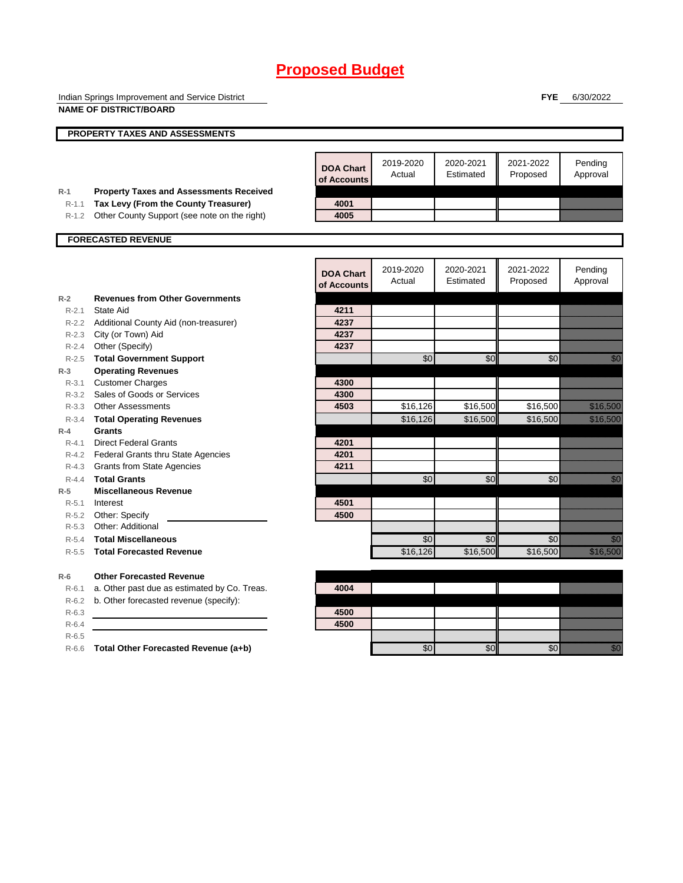Indian Springs Improvement and Service District **NAME OF DISTRICT/BOARD**

**FYE** 6/30/2022

|           | PROPERTY TAXES AND ASSESSMENTS                 |                                 |                     |                        |                       |                                                                                                                              |
|-----------|------------------------------------------------|---------------------------------|---------------------|------------------------|-----------------------|------------------------------------------------------------------------------------------------------------------------------|
|           |                                                |                                 |                     |                        |                       |                                                                                                                              |
|           |                                                | <b>DOA Chart</b><br>of Accounts | 2019-2020<br>Actual | 2020-2021<br>Estimated | 2021-2022<br>Proposed | Pending<br>Approval                                                                                                          |
| $R-1$     | <b>Property Taxes and Assessments Received</b> |                                 |                     |                        |                       |                                                                                                                              |
| $R-1.1$   | Tax Levy (From the County Treasurer)           | 4001<br>4005                    |                     |                        |                       |                                                                                                                              |
| R-1.2     | Other County Support (see note on the right)   |                                 |                     |                        |                       |                                                                                                                              |
|           | <b>FORECASTED REVENUE</b>                      |                                 |                     |                        |                       |                                                                                                                              |
|           |                                                |                                 |                     |                        |                       |                                                                                                                              |
|           |                                                | <b>DOA Chart</b><br>of Accounts | 2019-2020<br>Actual | 2020-2021<br>Estimated | 2021-2022<br>Proposed | Pending<br>Approval                                                                                                          |
| $R-2$     | <b>Revenues from Other Governments</b>         |                                 |                     |                        |                       |                                                                                                                              |
| $R - 2.1$ | State Aid                                      | 4211                            |                     |                        |                       |                                                                                                                              |
|           | R-2.2 Additional County Aid (non-treasurer)    | 4237                            |                     |                        |                       |                                                                                                                              |
|           | R-2.3 City (or Town) Aid                       | 4237                            |                     |                        |                       |                                                                                                                              |
|           | R-2.4 Other (Specify)                          | 4237                            |                     |                        |                       |                                                                                                                              |
| $R - 2.5$ | <b>Total Government Support</b>                |                                 | \$0                 | \$0                    | \$0                   | e di Sala                                                                                                                    |
| $R-3$     | <b>Operating Revenues</b>                      |                                 |                     |                        |                       |                                                                                                                              |
| $R - 3.1$ | <b>Customer Charges</b>                        | 4300                            |                     |                        |                       |                                                                                                                              |
| $R - 3.2$ | Sales of Goods or Services                     | 4300                            |                     |                        |                       |                                                                                                                              |
|           | R-3.3 Other Assessments                        | 4503                            | \$16,126            | \$16,500               | \$16,500              | <u> Karatika</u>                                                                                                             |
| $R-3.4$   | <b>Total Operating Revenues</b>                |                                 | \$16,126            | \$16,500               | \$16,500              | <u> Karl (</u>                                                                                                               |
| $R-4$     | Grants                                         |                                 |                     |                        |                       |                                                                                                                              |
| $R - 4.1$ | <b>Direct Federal Grants</b>                   | 4201                            |                     |                        |                       |                                                                                                                              |
|           | R-4.2 Federal Grants thru State Agencies       | 4201                            |                     |                        |                       |                                                                                                                              |
|           | R-4.3 Grants from State Agencies               | 4211                            |                     |                        |                       |                                                                                                                              |
| $R - 4.4$ | <b>Total Grants</b>                            |                                 | \$0                 | \$0                    | \$0                   | e de la composición de la composición de la composición de la composición de la composición de la composición<br>Composición |
| $R-5$     | <b>Miscellaneous Revenue</b>                   |                                 |                     |                        |                       |                                                                                                                              |
| $R - 5.1$ | Interest                                       | 4501                            |                     |                        |                       |                                                                                                                              |
|           | R-5.2 Other: Specify                           | 4500                            |                     |                        |                       |                                                                                                                              |
| $R - 5.3$ | Other: Additional                              |                                 |                     |                        |                       |                                                                                                                              |
| $R-5.4$   | <b>Total Miscellaneous</b>                     |                                 | \$0                 | \$0                    | \$0                   | <u>i Mi</u>                                                                                                                  |
| $R - 5.5$ | <b>Total Forecasted Revenue</b>                |                                 | \$16,126            | \$16,500               | \$16,500              | a a an an t-                                                                                                                 |
| $R-6$     | <b>Other Forecasted Revenue</b>                |                                 |                     |                        |                       |                                                                                                                              |
| $R-6.1$   | a. Other past due as estimated by Co. Treas.   | 4004                            |                     |                        |                       |                                                                                                                              |
| $R-6.2$   | b. Other forecasted revenue (specify):         |                                 |                     |                        |                       |                                                                                                                              |
| $R-6.3$   |                                                | 4500                            |                     |                        |                       |                                                                                                                              |
| $R-6.4$   |                                                | 4500                            |                     |                        |                       |                                                                                                                              |
| $R-6.5$   |                                                |                                 |                     |                        |                       |                                                                                                                              |
| $R-6.6$   | Total Other Forecasted Revenue (a+b)           |                                 | \$0                 | \$0                    | \$0                   | <u>tik a</u>                                                                                                                 |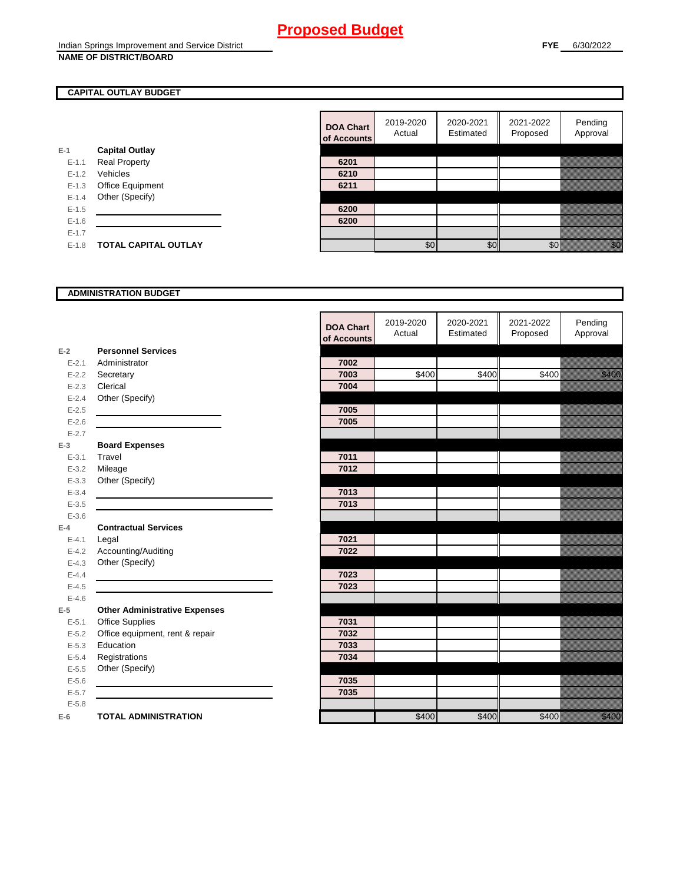### **CAPITAL OUTLAY BUDGET**

|           |                             | ui Auuu |
|-----------|-----------------------------|---------|
| $E-1$     | <b>Capital Outlay</b>       |         |
| $E - 1.1$ | <b>Real Property</b>        | 6201    |
| $E - 1.2$ | Vehicles                    | 6210    |
| $E - 1.3$ | Office Equipment            | 6211    |
| $E - 1.4$ | Other (Specify)             |         |
| $E-1.5$   |                             | 6200    |
| $E-1.6$   |                             | 6200    |
| $E - 1.7$ |                             |         |
| $E - 1.8$ | <b>TOTAL CAPITAL OUTLAY</b> |         |
|           |                             |         |

| <b>DOA Chart</b><br>of Accounts | 2019-2020<br>Actual | 2020-2021<br>Estimated | 2021-2022<br>Proposed | Pending<br>Approval |
|---------------------------------|---------------------|------------------------|-----------------------|---------------------|
|                                 |                     |                        |                       |                     |
| 6201                            |                     |                        |                       |                     |
| 6210                            |                     |                        |                       |                     |
| 6211                            |                     |                        |                       |                     |
|                                 |                     |                        |                       |                     |
| 6200                            |                     |                        |                       |                     |
| 6200                            |                     |                        |                       |                     |
|                                 |                     |                        |                       |                     |
|                                 | \$0                 | ፍር                     |                       |                     |

#### **ADMINISTRATION BUDGET**

|           |                                      | <b>DOA Chart</b><br>of Accounts | 2019-2020<br>Actual | 2020-2021<br>Estimated | 2021-2022<br>Proposed | Pending<br>Approval             |
|-----------|--------------------------------------|---------------------------------|---------------------|------------------------|-----------------------|---------------------------------|
| $E-2$     | <b>Personnel Services</b>            |                                 |                     |                        |                       |                                 |
| $E - 2.1$ | Administrator                        | 7002                            |                     |                        |                       |                                 |
| $E - 2.2$ | Secretary                            | 7003                            | \$400               | \$400                  | \$400                 | <u>tik komunistist om den s</u> |
| $E - 2.3$ | Clerical                             | 7004                            |                     |                        |                       |                                 |
| $E - 2.4$ | Other (Specify)                      |                                 |                     |                        |                       |                                 |
| $E-2.5$   |                                      | 7005                            |                     |                        |                       |                                 |
| $E - 2.6$ |                                      | 7005                            |                     |                        |                       |                                 |
| $E - 2.7$ |                                      |                                 |                     |                        |                       |                                 |
| $E-3$     | <b>Board Expenses</b>                |                                 |                     |                        |                       |                                 |
| $E - 3.1$ | Travel                               | 7011                            |                     |                        |                       |                                 |
| $E - 3.2$ | Mileage                              | 7012                            |                     |                        |                       |                                 |
| $E - 3.3$ | Other (Specify)                      |                                 |                     |                        |                       |                                 |
| $E - 3.4$ |                                      | 7013                            |                     |                        |                       |                                 |
| $E - 3.5$ |                                      | 7013                            |                     |                        |                       |                                 |
| $E - 3.6$ |                                      |                                 |                     |                        |                       |                                 |
| $E-4$     | <b>Contractual Services</b>          |                                 |                     |                        |                       |                                 |
| $E - 4.1$ | Legal                                | 7021                            |                     |                        |                       |                                 |
| $E-4.2$   | Accounting/Auditing                  | 7022                            |                     |                        |                       |                                 |
| $E - 4.3$ | Other (Specify)                      |                                 |                     |                        |                       |                                 |
| $E - 4.4$ |                                      | 7023                            |                     |                        |                       |                                 |
| $E-4.5$   |                                      | 7023                            |                     |                        |                       |                                 |
| $E - 4.6$ |                                      |                                 |                     |                        |                       |                                 |
| $E-5$     | <b>Other Administrative Expenses</b> |                                 |                     |                        |                       |                                 |
| $E - 5.1$ | <b>Office Supplies</b>               | 7031                            |                     |                        |                       |                                 |
| $E - 5.2$ | Office equipment, rent & repair      | 7032                            |                     |                        |                       |                                 |
| $E - 5.3$ | Education                            | 7033                            |                     |                        |                       |                                 |
| $E - 5.4$ | Registrations                        | 7034                            |                     |                        |                       |                                 |
| $E-5.5$   | Other (Specify)                      |                                 |                     |                        |                       |                                 |
| $E-5.6$   |                                      | 7035                            |                     |                        |                       |                                 |
| $E - 5.7$ |                                      | 7035                            |                     |                        |                       |                                 |
| $E - 5.8$ |                                      |                                 |                     |                        |                       |                                 |
| $E-6$     | <b>TOTAL ADMINISTRATION</b>          |                                 | \$400               | \$400                  | \$400                 | <u>ti k</u>                     |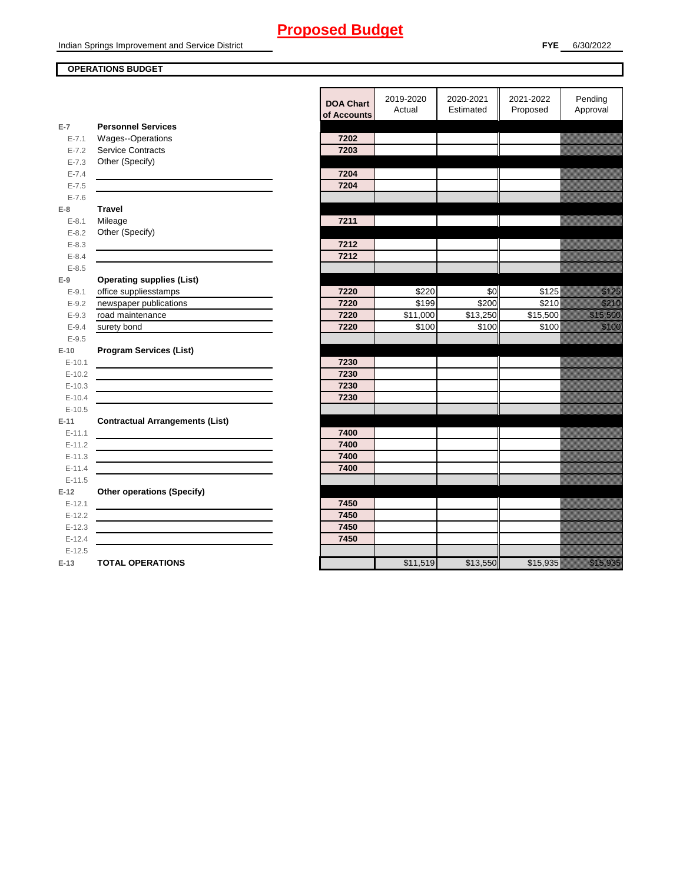#### **OPERATIONS BUDGET**

**E-7**

E-7.6 **E-8 Travel**

E-8.5 **E-9**

E-9.5 **E-10**

E-10.5 **E-11 Contractual Arrangements (List)** 

E-11.5 **E-12 Other operations (Specify)** 

|           |                                        | <b>DOA Chart</b><br>of Accounts | 2019-2020<br>Actual | 2020-2021<br>Estimated | 2021-2022<br>Proposed | Pending<br>Approval                                                                                                                                                                                                              |
|-----------|----------------------------------------|---------------------------------|---------------------|------------------------|-----------------------|----------------------------------------------------------------------------------------------------------------------------------------------------------------------------------------------------------------------------------|
| $E-7$     | <b>Personnel Services</b>              |                                 |                     |                        |                       |                                                                                                                                                                                                                                  |
| $E - 7.1$ | Wages--Operations                      | 7202                            |                     |                        |                       |                                                                                                                                                                                                                                  |
| $E - 7.2$ | <b>Service Contracts</b>               | 7203                            |                     |                        |                       |                                                                                                                                                                                                                                  |
| $E - 7.3$ | Other (Specify)                        |                                 |                     |                        |                       |                                                                                                                                                                                                                                  |
| $E - 7.4$ |                                        | 7204                            |                     |                        |                       |                                                                                                                                                                                                                                  |
| $E - 7.5$ |                                        | 7204                            |                     |                        |                       |                                                                                                                                                                                                                                  |
| $E - 7.6$ |                                        |                                 |                     |                        |                       |                                                                                                                                                                                                                                  |
| $E-8$     | <b>Travel</b>                          |                                 |                     |                        |                       |                                                                                                                                                                                                                                  |
| $E - 8.1$ | Mileage                                | 7211                            |                     |                        |                       |                                                                                                                                                                                                                                  |
| $E-8.2$   | Other (Specify)                        |                                 |                     |                        |                       |                                                                                                                                                                                                                                  |
| $E - 8.3$ |                                        | 7212                            |                     |                        |                       |                                                                                                                                                                                                                                  |
| $E - 8.4$ |                                        | 7212                            |                     |                        |                       |                                                                                                                                                                                                                                  |
| $E - 8.5$ |                                        |                                 |                     |                        |                       |                                                                                                                                                                                                                                  |
| $E-9$     | <b>Operating supplies (List)</b>       |                                 |                     |                        |                       |                                                                                                                                                                                                                                  |
| $E - 9.1$ | office suppliesstamps                  | 7220                            | \$220               | \$0                    | \$125                 | <u>i kalendari ko</u>                                                                                                                                                                                                            |
| $E - 9.2$ | newspaper publications                 | 7220                            | \$199               | \$200                  | \$210                 | <u>ti ili k</u>                                                                                                                                                                                                                  |
| $E-9.3$   | road maintenance                       | 7220                            | \$11,000            | \$13,250               | \$15,500              | <u> Karl Sara</u>                                                                                                                                                                                                                |
| $E - 9.4$ | surety bond                            | 7220                            | \$100               | \$100                  | \$100                 | <u>ti ka</u>                                                                                                                                                                                                                     |
| $E-9.5$   |                                        |                                 |                     |                        |                       |                                                                                                                                                                                                                                  |
| $E-10$    | <b>Program Services (List)</b>         |                                 |                     |                        |                       |                                                                                                                                                                                                                                  |
| $E-10.1$  |                                        | 7230                            |                     |                        |                       |                                                                                                                                                                                                                                  |
| $E-10.2$  |                                        | 7230                            |                     |                        |                       |                                                                                                                                                                                                                                  |
| $E-10.3$  |                                        | 7230                            |                     |                        |                       |                                                                                                                                                                                                                                  |
| $E-10.4$  |                                        | 7230                            |                     |                        |                       |                                                                                                                                                                                                                                  |
| $E-10.5$  |                                        |                                 |                     |                        |                       |                                                                                                                                                                                                                                  |
| E-11      | <b>Contractual Arrangements (List)</b> |                                 |                     |                        |                       |                                                                                                                                                                                                                                  |
| $E-11.1$  |                                        | 7400                            |                     |                        |                       |                                                                                                                                                                                                                                  |
| $E-11.2$  |                                        | 7400                            |                     |                        |                       |                                                                                                                                                                                                                                  |
| $E-11.3$  |                                        | 7400                            |                     |                        |                       |                                                                                                                                                                                                                                  |
| $E-11.4$  |                                        | 7400                            |                     |                        |                       |                                                                                                                                                                                                                                  |
| $E-11.5$  |                                        |                                 |                     |                        |                       |                                                                                                                                                                                                                                  |
| E-12      | <b>Other operations (Specify)</b>      |                                 |                     |                        |                       |                                                                                                                                                                                                                                  |
| $E-12.1$  |                                        | 7450                            |                     |                        |                       |                                                                                                                                                                                                                                  |
| $E-12.2$  |                                        | 7450                            |                     |                        |                       |                                                                                                                                                                                                                                  |
| $E-12.3$  |                                        | 7450                            |                     |                        |                       |                                                                                                                                                                                                                                  |
| $E-12.4$  |                                        | 7450                            |                     |                        |                       |                                                                                                                                                                                                                                  |
| $E-12.5$  |                                        |                                 |                     |                        |                       |                                                                                                                                                                                                                                  |
| E-13      | <b>TOTAL OPERATIONS</b>                |                                 | \$11,519            | \$13,550               | \$15,935              | a katika katika katika katika katika katika katika katika katika katika katika katika katika katika katika kat<br>Katika katika katika katika katika katika katika katika katika katika katika katika katika katika katika katik |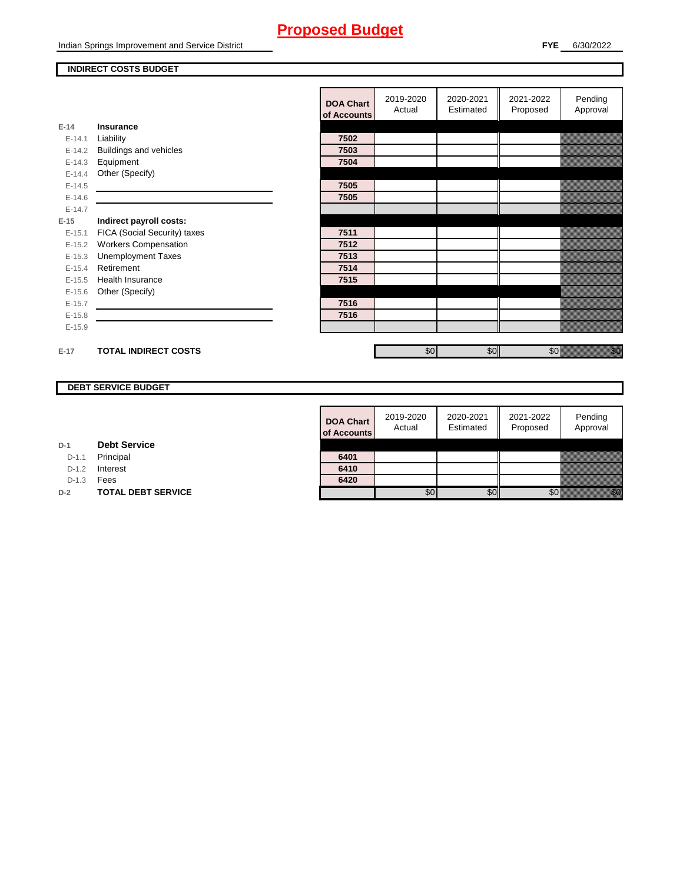Indian Springs Improvement and Service District

#### **INDIRECT COSTS BUDGET**

|          |                               | <b>DOA Chart</b><br>of Accounts | 2019-2020<br>Actual | 2020-2021<br>Estimated | 2021-2022<br>Proposed | Pending<br>Approval                                                                                                                                                                                                              |
|----------|-------------------------------|---------------------------------|---------------------|------------------------|-----------------------|----------------------------------------------------------------------------------------------------------------------------------------------------------------------------------------------------------------------------------|
| $E-14$   | Insurance                     |                                 |                     |                        |                       |                                                                                                                                                                                                                                  |
| $E-14.1$ | Liability                     | 7502                            |                     |                        |                       |                                                                                                                                                                                                                                  |
| $E-14.2$ | <b>Buildings and vehicles</b> | 7503                            |                     |                        |                       |                                                                                                                                                                                                                                  |
| $E-14.3$ | Equipment                     | 7504                            |                     |                        |                       |                                                                                                                                                                                                                                  |
| $E-14.4$ | Other (Specify)               |                                 |                     |                        |                       |                                                                                                                                                                                                                                  |
| $E-14.5$ |                               | 7505                            |                     |                        |                       |                                                                                                                                                                                                                                  |
| $E-14.6$ |                               | 7505                            |                     |                        |                       |                                                                                                                                                                                                                                  |
| $E-14.7$ |                               |                                 |                     |                        |                       |                                                                                                                                                                                                                                  |
| $E-15$   | Indirect payroll costs:       |                                 |                     |                        |                       |                                                                                                                                                                                                                                  |
| $E-15.1$ | FICA (Social Security) taxes  | 7511                            |                     |                        |                       |                                                                                                                                                                                                                                  |
| $E-15.2$ | <b>Workers Compensation</b>   | 7512                            |                     |                        |                       |                                                                                                                                                                                                                                  |
| $E-15.3$ | <b>Unemployment Taxes</b>     | 7513                            |                     |                        |                       |                                                                                                                                                                                                                                  |
| $E-15.4$ | Retirement                    | 7514                            |                     |                        |                       |                                                                                                                                                                                                                                  |
| $E-15.5$ | Health Insurance              | 7515                            |                     |                        |                       |                                                                                                                                                                                                                                  |
| $E-15.6$ | Other (Specify)               |                                 |                     |                        |                       |                                                                                                                                                                                                                                  |
| $E-15.7$ |                               | 7516                            |                     |                        |                       |                                                                                                                                                                                                                                  |
| $E-15.8$ |                               | 7516                            |                     |                        |                       |                                                                                                                                                                                                                                  |
| $E-15.9$ |                               |                                 |                     |                        |                       |                                                                                                                                                                                                                                  |
|          |                               |                                 |                     |                        |                       |                                                                                                                                                                                                                                  |
| $E-17$   | <b>TOTAL INDIRECT COSTS</b>   |                                 | \$0 <sub>1</sub>    | \$0                    | \$0                   | eli kongressionella partikeline kongressionella partikeline kongressionella partikeline kongressionella partik<br>Kongressionella partikeline kongressionella partikeline kongressionella partikeline kongressionella partikelin |

### **DEBT SERVICE BUDGET**

**D-2 TOTAL DEBT SERVICE** 

**Debt Service**

**D-1**

D-1.1 Principal D-1.2 **Interest** D-1.3 **Fees** 

| <b>DOA Chart</b> | 2019-2020<br>Actual | 2020-2021<br>Estimated | 2021-2022<br>Proposed | Pending<br>Approval |
|------------------|---------------------|------------------------|-----------------------|---------------------|
| of Accounts      |                     |                        |                       |                     |
| 6401             |                     |                        |                       |                     |
| 6410             |                     |                        |                       |                     |
| 6420             |                     |                        |                       |                     |
|                  |                     |                        |                       |                     |